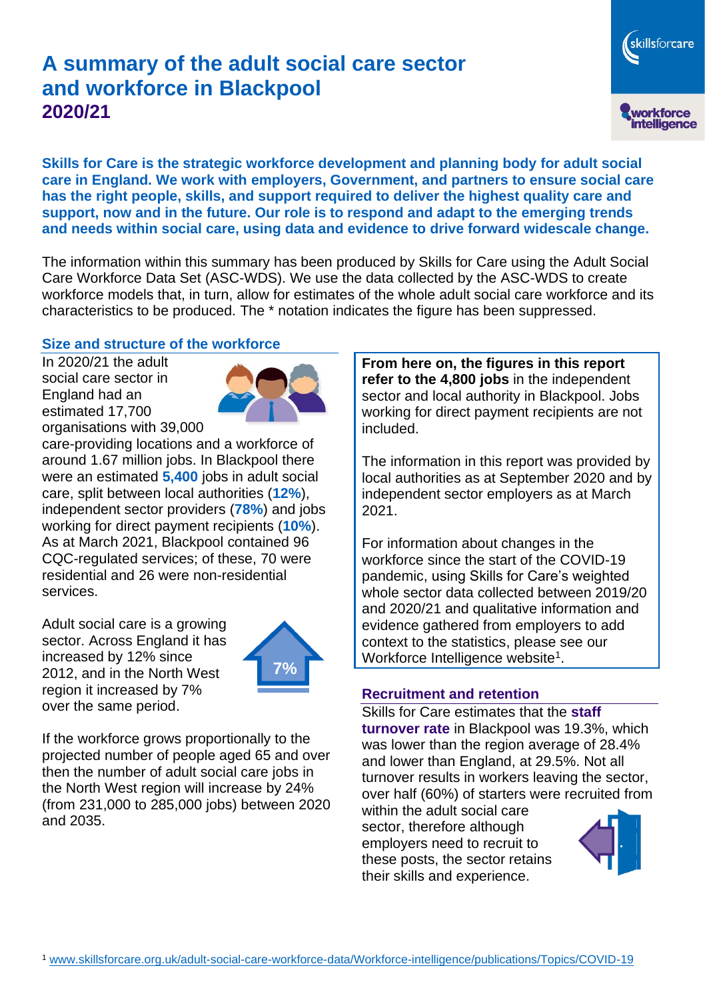# **A summary of the adult social care sector and workforce in Blackpool 2020/21**

workforce<br>intelligence

skillsforcare

**Skills for Care is the strategic workforce development and planning body for adult social care in England. We work with employers, Government, and partners to ensure social care has the right people, skills, and support required to deliver the highest quality care and support, now and in the future. Our role is to respond and adapt to the emerging trends and needs within social care, using data and evidence to drive forward widescale change.**

The information within this summary has been produced by Skills for Care using the Adult Social Care Workforce Data Set (ASC-WDS). We use the data collected by the ASC-WDS to create workforce models that, in turn, allow for estimates of the whole adult social care workforce and its characteristics to be produced. The \* notation indicates the figure has been suppressed.

#### **Size and structure of the workforce**

In 2020/21 the adult social care sector in England had an estimated 17,700 organisations with 39,000



care-providing locations and a workforce of around 1.67 million jobs. In Blackpool there were an estimated **5,400** jobs in adult social care, split between local authorities (**12%**), independent sector providers (**78%**) and jobs working for direct payment recipients (**10%**). As at March 2021, Blackpool contained 96 CQC-regulated services; of these, 70 were residential and 26 were non-residential services.

Adult social care is a growing sector. Across England it has increased by 12% since 2012, and in the North West region it increased by 7% over the same period.



If the workforce grows proportionally to the projected number of people aged 65 and over then the number of adult social care jobs in the North West region will increase by 24% (from 231,000 to 285,000 jobs) between 2020 and 2035.

**From here on, the figures in this report refer to the 4,800 jobs** in the independent sector and local authority in Blackpool. Jobs working for direct payment recipients are not included.

The information in this report was provided by local authorities as at September 2020 and by independent sector employers as at March 2021.

For information about changes in the workforce since the start of the COVID-19 pandemic, using Skills for Care's weighted whole sector data collected between 2019/20 and 2020/21 and qualitative information and evidence gathered from employers to add context to the statistics, please see our Workforce Intelligence website<sup>1</sup>.

#### **Recruitment and retention**

Skills for Care estimates that the **staff turnover rate** in Blackpool was 19.3%, which was lower than the region average of 28.4% and lower than England, at 29.5%. Not all turnover results in workers leaving the sector, over half (60%) of starters were recruited from

within the adult social care sector, therefore although employers need to recruit to these posts, the sector retains their skills and experience.

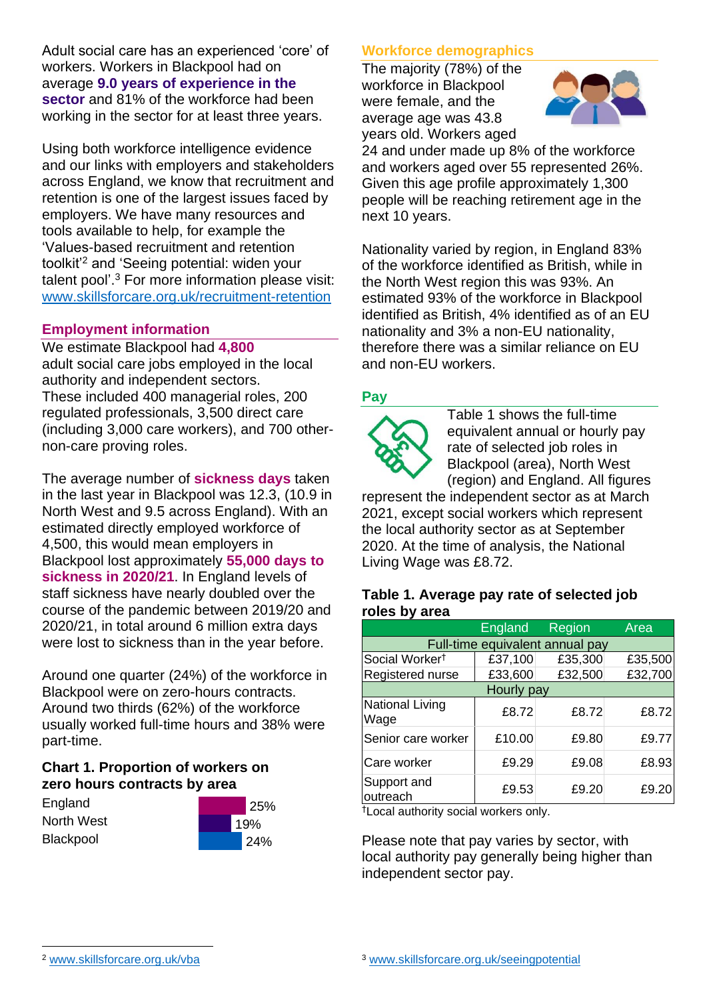Adult social care has an experienced 'core' of workers. Workers in Blackpool had on average **9.0 years of experience in the sector** and 81% of the workforce had been working in the sector for at least three years.

Using both workforce intelligence evidence and our links with employers and stakeholders across England, we know that recruitment and retention is one of the largest issues faced by employers. We have many resources and tools available to help, for example the 'Values-based recruitment and retention toolkit'<sup>2</sup> and 'Seeing potential: widen your talent pool'. <sup>3</sup> For more information please visit: [www.skillsforcare.org.uk/recruitment-retention](http://www.skillsforcare.org.uk/recruitment-retention)

#### **Employment information**

We estimate Blackpool had **4,800** adult social care jobs employed in the local authority and independent sectors. These included 400 managerial roles, 200 regulated professionals, 3,500 direct care (including 3,000 care workers), and 700 othernon-care proving roles.

The average number of **sickness days** taken in the last year in Blackpool was 12.3, (10.9 in North West and 9.5 across England). With an estimated directly employed workforce of 4,500, this would mean employers in Blackpool lost approximately **55,000 days to sickness in 2020/21**. In England levels of staff sickness have nearly doubled over the course of the pandemic between 2019/20 and 2020/21, in total around 6 million extra days were lost to sickness than in the year before.

Around one quarter (24%) of the workforce in Blackpool were on zero-hours contracts. Around two thirds (62%) of the workforce usually worked full-time hours and 38% were part-time.

### **Chart 1. Proportion of workers on zero hours contracts by area**

**England** North West **Blackpool** 



### **Workforce demographics**

The majority (78%) of the workforce in Blackpool were female, and the average age was 43.8 years old. Workers aged



24 and under made up 8% of the workforce and workers aged over 55 represented 26%. Given this age profile approximately 1,300 people will be reaching retirement age in the next 10 years.

Nationality varied by region, in England 83% of the workforce identified as British, while in the North West region this was 93%. An estimated 93% of the workforce in Blackpool identified as British, 4% identified as of an EU nationality and 3% a non-EU nationality, therefore there was a similar reliance on EU and non-EU workers.

### **Pay**



Table 1 shows the full-time equivalent annual or hourly pay rate of selected job roles in Blackpool (area), North West (region) and England. All figures

represent the independent sector as at March 2021, except social workers which represent the local authority sector as at September 2020. At the time of analysis, the National Living Wage was £8.72.

#### **Table 1. Average pay rate of selected job roles by area**

|                                 | <b>England</b> | Region  | Area    |
|---------------------------------|----------------|---------|---------|
| Full-time equivalent annual pay |                |         |         |
| Social Worker <sup>t</sup>      | £37,100        | £35,300 | £35,500 |
| Registered nurse                | £33,600        | £32,500 | £32,700 |
| Hourly pay                      |                |         |         |
| National Living<br>Wage         | £8.72          | £8.72   | £8.72   |
| Senior care worker              | £10.00         | £9.80   | £9.77   |
| Care worker                     | £9.29          | £9.08   | £8.93   |
| Support and<br>outreach         | £9.53          | £9.20   | £9.20   |

†Local authority social workers only.

Please note that pay varies by sector, with local authority pay generally being higher than independent sector pay.